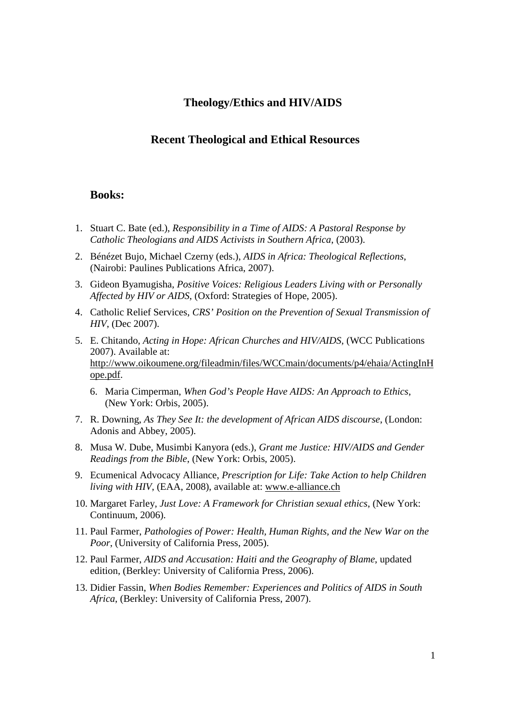# **Theology/Ethics and HIV/AIDS**

## **Recent Theological and Ethical Resources**

### **Books:**

- 1. Stuart C. Bate (ed.), *Responsibility in a Time of AIDS: A Pastoral Response by Catholic Theologians and AIDS Activists in Southern Africa*, (2003).
- 2. Bénézet Bujo, Michael Czerny (eds.), *AIDS in Africa: Theological Reflections*, (Nairobi: Paulines Publications Africa, 2007).
- 3. Gideon Byamugisha, *Positive Voices: Religious Leaders Living with or Personally Affected by HIV or AIDS*, (Oxford: Strategies of Hope, 2005).
- 4. Catholic Relief Services, *CRS' Position on the Prevention of Sexual Transmission of HIV*, (Dec 2007).
- 5. E. Chitando, *Acting in Hope: African Churches and HIV/AIDS*, (WCC Publications 2007). Available at: http://www.oikoumene.org/fileadmin/files/WCCmain/documents/p4/ehaia/ActingInH ope.pdf.
	- 6. Maria Cimperman, *When God's People Have AIDS: An Approach to Ethics*, (New York: Orbis, 2005).
- 7. R. Downing, *As They See It: the development of African AIDS discourse*, (London: Adonis and Abbey, 2005).
- 8. Musa W. Dube, Musimbi Kanyora (eds.), *Grant me Justice: HIV/AIDS and Gender Readings from the Bible*, (New York: Orbis, 2005).
- 9. Ecumenical Advocacy Alliance, *Prescription for Life: Take Action to help Children living with HIV*, (EAA, 2008), available at: www.e-alliance.ch
- 10. Margaret Farley, *Just Love: A Framework for Christian sexual ethics*, (New York: Continuum, 2006).
- 11. Paul Farmer, *Pathologies of Power: Health, Human Rights, and the New War on the Poor*, (University of California Press, 2005).
- 12. Paul Farmer, *AIDS and Accusation: Haiti and the Geography of Blame*, updated edition, (Berkley: University of California Press, 2006).
- 13. Didier Fassin, *When Bodies Remember: Experiences and Politics of AIDS in South Africa*, (Berkley: University of California Press, 2007).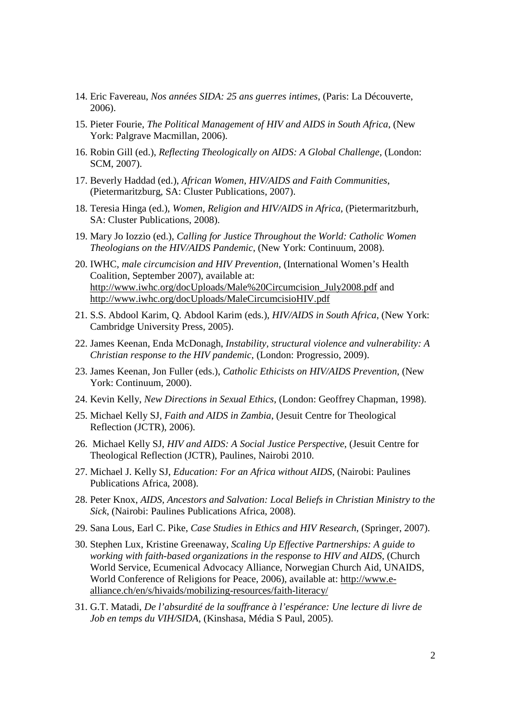- 14. Eric Favereau, *Nos années SIDA: 25 ans guerres intimes*, (Paris: La Découverte, 2006).
- 15. Pieter Fourie, *The Political Management of HIV and AIDS in South Africa*, (New York: Palgrave Macmillan, 2006).
- 16. Robin Gill (ed.), *Reflecting Theologically on AIDS: A Global Challenge*, (London: SCM, 2007).
- 17. Beverly Haddad (ed.), *African Women, HIV/AIDS and Faith Communities*, (Pietermaritzburg, SA: Cluster Publications, 2007).
- 18. Teresia Hinga (ed.), *Women, Religion and HIV/AIDS in Africa*, (Pietermaritzburh, SA: Cluster Publications, 2008).
- 19. Mary Jo Iozzio (ed.), *Calling for Justice Throughout the World: Catholic Women Theologians on the HIV/AIDS Pandemic*, (New York: Continuum, 2008).
- 20. IWHC, *male circumcision and HIV Prevention*, (International Women's Health Coalition, September 2007), available at: http://www.iwhc.org/docUploads/Male%20Circumcision\_July2008.pdf and http://www.iwhc.org/docUploads/MaleCircumcisioHIV.pdf
- 21. S.S. Abdool Karim, Q. Abdool Karim (eds.), *HIV/AIDS in South Africa*, (New York: Cambridge University Press, 2005).
- 22. James Keenan, Enda McDonagh, *Instability, structural violence and vulnerability: A Christian response to the HIV pandemic*, (London: Progressio, 2009).
- 23. James Keenan, Jon Fuller (eds.), *Catholic Ethicists on HIV/AIDS Prevention*, (New York: Continuum, 2000).
- 24. Kevin Kelly, *New Directions in Sexual Ethics*, (London: Geoffrey Chapman, 1998).
- 25. Michael Kelly SJ, *Faith and AIDS in Zambia*, (Jesuit Centre for Theological Reflection (JCTR), 2006).
- 26. Michael Kelly SJ, *HIV and AIDS: A Social Justice Perspective*, (Jesuit Centre for Theological Reflection (JCTR), Paulines, Nairobi 2010.
- 27. Michael J. Kelly SJ, *Education: For an Africa without AIDS*, (Nairobi: Paulines Publications Africa, 2008).
- 28. Peter Knox, *AIDS, Ancestors and Salvation: Local Beliefs in Christian Ministry to the Sick*, (Nairobi: Paulines Publications Africa, 2008).
- 29. Sana Lous, Earl C. Pike, *Case Studies in Ethics and HIV Research*, (Springer, 2007).
- 30. Stephen Lux, Kristine Greenaway, *Scaling Up Effective Partnerships: A guide to working with faith-based organizations in the response to HIV and AIDS*, (Church World Service, Ecumenical Advocacy Alliance, Norwegian Church Aid, UNAIDS, World Conference of Religions for Peace, 2006), available at: http://www.ealliance.ch/en/s/hivaids/mobilizing-resources/faith-literacy/
- 31. G.T. Matadi, *De l'absurdité de la souffrance à l'espérance: Une lecture di livre de Job en temps du VIH/SIDA*, (Kinshasa, Média S Paul, 2005).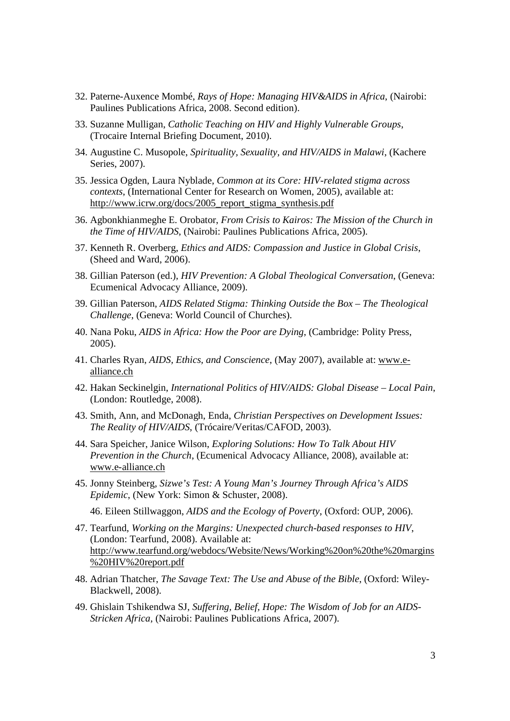- 32. Paterne-Auxence Mombé, *Rays of Hope: Managing HIV&AIDS in Africa*, (Nairobi: Paulines Publications Africa, 2008. Second edition).
- 33. Suzanne Mulligan, *Catholic Teaching on HIV and Highly Vulnerable Groups*, (Trocaire Internal Briefing Document, 2010).
- 34. Augustine C. Musopole, *Spirituality, Sexuality, and HIV/AIDS in Malawi*, (Kachere Series, 2007).
- 35. Jessica Ogden, Laura Nyblade, *Common at its Core: HIV-related stigma across contexts*, (International Center for Research on Women, 2005), available at: http://www.icrw.org/docs/2005\_report\_stigma\_synthesis.pdf
- 36. Agbonkhianmeghe E. Orobator, *From Crisis to Kairos: The Mission of the Church in the Time of HIV/AIDS*, (Nairobi: Paulines Publications Africa, 2005).
- 37. Kenneth R. Overberg, *Ethics and AIDS: Compassion and Justice in Global Crisis*, (Sheed and Ward, 2006).
- 38. Gillian Paterson (ed.), *HIV Prevention: A Global Theological Conversation*, (Geneva: Ecumenical Advocacy Alliance, 2009).
- 39. Gillian Paterson, *AIDS Related Stigma: Thinking Outside the Box The Theological Challenge*, (Geneva: World Council of Churches).
- 40. Nana Poku, *AIDS in Africa: How the Poor are Dying*, (Cambridge: Polity Press, 2005).
- 41. Charles Ryan, *AIDS, Ethics, and Conscience*, (May 2007), available at: www.ealliance.ch
- 42. Hakan Seckinelgin, *International Politics of HIV/AIDS: Global Disease Local Pain*, (London: Routledge, 2008).
- 43. Smith, Ann, and McDonagh, Enda, *Christian Perspectives on Development Issues: The Reality of HIV/AIDS*, (Trócaire/Veritas/CAFOD, 2003).
- 44. Sara Speicher, Janice Wilson, *Exploring Solutions: How To Talk About HIV Prevention in the Church*, (Ecumenical Advocacy Alliance, 2008), available at: www.e-alliance.ch
- 45. Jonny Steinberg, *Sizwe's Test: A Young Man's Journey Through Africa's AIDS Epidemic*, (New York: Simon & Schuster, 2008).
	- 46. Eileen Stillwaggon, *AIDS and the Ecology of Poverty*, (Oxford: OUP, 2006).
- 47. Tearfund, *Working on the Margins: Unexpected church-based responses to HIV*, (London: Tearfund, 2008). Available at: http://www.tearfund.org/webdocs/Website/News/Working%20on%20the%20margins %20HIV%20report.pdf
- 48. Adrian Thatcher, *The Savage Text: The Use and Abuse of the Bible*, (Oxford: Wiley-Blackwell, 2008).
- 49. Ghislain Tshikendwa SJ, *Suffering, Belief, Hope: The Wisdom of Job for an AIDS-Stricken Africa*, (Nairobi: Paulines Publications Africa, 2007).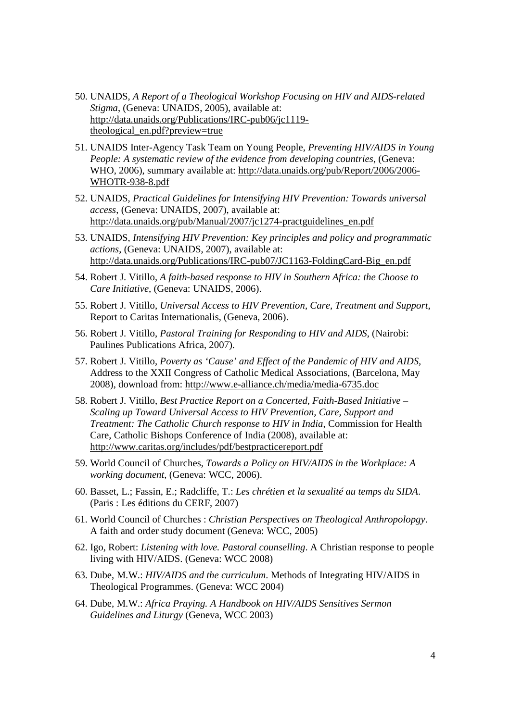- 50. UNAIDS, *A Report of a Theological Workshop Focusing on HIV and AIDS-related Stigma*, (Geneva: UNAIDS, 2005), available at: http://data.unaids.org/Publications/IRC-pub06/jc1119 theological\_en.pdf?preview=true
- 51. UNAIDS Inter-Agency Task Team on Young People, *Preventing HIV/AIDS in Young People: A systematic review of the evidence from developing countries*, (Geneva: WHO, 2006), summary available at: http://data.unaids.org/pub/Report/2006/2006- WHOTR-938-8.pdf
- 52. UNAIDS, *Practical Guidelines for Intensifying HIV Prevention: Towards universal access*, (Geneva: UNAIDS, 2007), available at: http://data.unaids.org/pub/Manual/2007/jc1274-practguidelines\_en.pdf
- 53. UNAIDS, *Intensifying HIV Prevention: Key principles and policy and programmatic actions*, (Geneva: UNAIDS, 2007), available at: http://data.unaids.org/Publications/IRC-pub07/JC1163-FoldingCard-Big\_en.pdf
- 54. Robert J. Vitillo, *A faith-based response to HIV in Southern Africa: the Choose to Care Initiative*, (Geneva: UNAIDS, 2006).
- 55. Robert J. Vitillo, *Universal Access to HIV Prevention, Care, Treatment and Support*, Report to Caritas Internationalis, (Geneva, 2006).
- 56. Robert J. Vitillo, *Pastoral Training for Responding to HIV and AIDS*, (Nairobi: Paulines Publications Africa, 2007).
- 57. Robert J. Vitillo, *Poverty as 'Cause' and Effect of the Pandemic of HIV and AIDS,*  Address to the XXII Congress of Catholic Medical Associations, (Barcelona, May 2008), download from: http://www.e-alliance.ch/media/media-6735.doc
- 58. Robert J. Vitillo, *Best Practice Report on a Concerted, Faith-Based Initiative Scaling up Toward Universal Access to HIV Prevention, Care, Support and Treatment: The Catholic Church response to HIV in India*, Commission for Health Care, Catholic Bishops Conference of India (2008), available at: http://www.caritas.org/includes/pdf/bestpracticereport.pdf
- 59. World Council of Churches, *Towards a Policy on HIV/AIDS in the Workplace: A working document*, (Geneva: WCC, 2006).
- 60. Basset, L.; Fassin, E.; Radcliffe, T.: *Les chrétien et la sexualité au temps du SIDA*. (Paris : Les éditions du CERF, 2007)
- 61. World Council of Churches : *Christian Perspectives on Theological Anthropolopgy*. A faith and order study document (Geneva: WCC, 2005)
- 62. Igo, Robert: *Listening with love. Pastoral counselling*. A Christian response to people living with HIV/AIDS. (Geneva: WCC 2008)
- 63. Dube, M.W.: *HIV/AIDS and the curriculum*. Methods of Integrating HIV/AIDS in Theological Programmes. (Geneva: WCC 2004)
- 64. Dube, M.W.: *Africa Praying. A Handbook on HIV/AIDS Sensitives Sermon Guidelines and Liturgy* (Geneva, WCC 2003)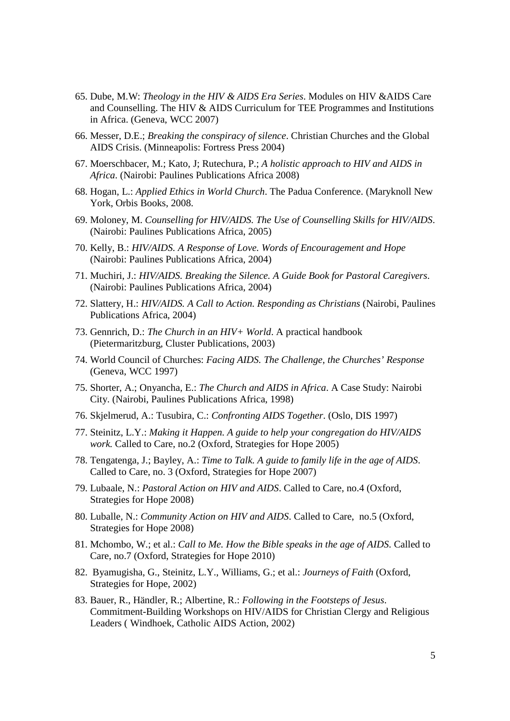- 65. Dube, M.W: *Theology in the HIV & AIDS Era Series*. Modules on HIV &AIDS Care and Counselling. The HIV & AIDS Curriculum for TEE Programmes and Institutions in Africa. (Geneva, WCC 2007)
- 66. Messer, D.E.; *Breaking the conspiracy of silence*. Christian Churches and the Global AIDS Crisis. (Minneapolis: Fortress Press 2004)
- 67. Moerschbacer, M.; Kato, J; Rutechura, P.; *A holistic approach to HIV and AIDS in Africa*. (Nairobi: Paulines Publications Africa 2008)
- 68. Hogan, L.: *Applied Ethics in World Church*. The Padua Conference. (Maryknoll New York, Orbis Books, 2008.
- 69. Moloney, M. *Counselling for HIV/AIDS. The Use of Counselling Skills for HIV/AIDS*. (Nairobi: Paulines Publications Africa, 2005)
- 70. Kelly, B.: *HIV/AIDS. A Response of Love. Words of Encouragement and Hope* (Nairobi: Paulines Publications Africa, 2004)
- 71. Muchiri, J.: *HIV/AIDS. Breaking the Silence. A Guide Book for Pastoral Caregivers*. (Nairobi: Paulines Publications Africa, 2004)
- 72. Slattery, H.: *HIV/AIDS. A Call to Action. Responding as Christians* (Nairobi, Paulines Publications Africa, 2004)
- 73. Gennrich, D.: *The Church in an HIV+ World*. A practical handbook (Pietermaritzburg, Cluster Publications, 2003)
- 74. World Council of Churches: *Facing AIDS. The Challenge, the Churches' Response* (Geneva, WCC 1997)
- 75. Shorter, A.; Onyancha, E.: *The Church and AIDS in Africa*. A Case Study: Nairobi City. (Nairobi, Paulines Publications Africa, 1998)
- 76. Skjelmerud, A.: Tusubira, C.: *Confronting AIDS Together*. (Oslo, DIS 1997)
- 77. Steinitz, L.Y.: *Making it Happen. A guide to help your congregation do HIV/AIDS work.* Called to Care, no.2 (Oxford, Strategies for Hope 2005)
- 78. Tengatenga, J.; Bayley, A.: *Time to Talk. A guide to family life in the age of AIDS*. Called to Care, no. 3 (Oxford, Strategies for Hope 2007)
- 79. Lubaale, N.: *Pastoral Action on HIV and AIDS*. Called to Care, no.4 (Oxford, Strategies for Hope 2008)
- 80. Luballe, N.: *Community Action on HIV and AIDS*. Called to Care, no.5 (Oxford, Strategies for Hope 2008)
- 81. Mchombo, W.; et al.: *Call to Me. How the Bible speaks in the age of AIDS*. Called to Care, no.7 (Oxford, Strategies for Hope 2010)
- 82. Byamugisha, G., Steinitz, L.Y., Williams, G.; et al.: *Journeys of Faith* (Oxford, Strategies for Hope, 2002)
- 83. Bauer, R., Händler, R.; Albertine, R.: *Following in the Footsteps of Jesus*. Commitment-Building Workshops on HIV/AIDS for Christian Clergy and Religious Leaders ( Windhoek, Catholic AIDS Action, 2002)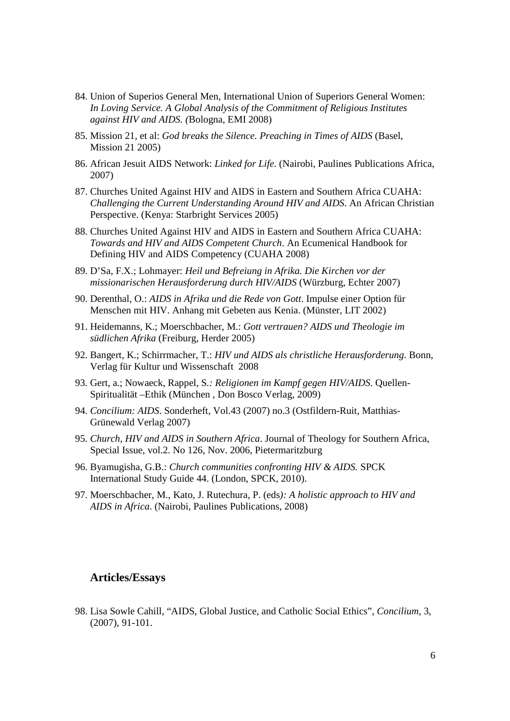- 84. Union of Superios General Men, International Union of Superiors General Women: *In Loving Service. A Global Analysis of the Commitment of Religious Institutes against HIV and AIDS. (*Bologna, EMI 2008)
- 85. Mission 21, et al: *God breaks the Silence. Preaching in Times of AIDS* (Basel, Mission 21 2005)
- 86. African Jesuit AIDS Network: *Linked for Life*. (Nairobi, Paulines Publications Africa, 2007)
- 87. Churches United Against HIV and AIDS in Eastern and Southern Africa CUAHA: *Challenging the Current Understanding Around HIV and AIDS*. An African Christian Perspective. (Kenya: Starbright Services 2005)
- 88. Churches United Against HIV and AIDS in Eastern and Southern Africa CUAHA: *Towards and HIV and AIDS Competent Church*. An Ecumenical Handbook for Defining HIV and AIDS Competency (CUAHA 2008)
- 89. D'Sa, F.X.; Lohmayer: *Heil und Befreiung in Afrika. Die Kirchen vor der missionarischen Herausforderung durch HIV/AIDS* (Würzburg, Echter 2007)
- 90. Derenthal, O.: *AIDS in Afrika und die Rede von Gott*. Impulse einer Option für Menschen mit HIV. Anhang mit Gebeten aus Kenia. (Münster, LIT 2002)
- 91. Heidemanns, K.; Moerschbacher, M.: *Gott vertrauen? AIDS und Theologie im südlichen Afrika* (Freiburg, Herder 2005)
- 92. Bangert, K.; Schirrmacher, T.: *HIV und AIDS als christliche Herausforderung*. Bonn, Verlag für Kultur und Wissenschaft 2008
- 93. Gert, a.; Nowaeck, Rappel, S*.: Religionen im Kampf gegen HIV/AIDS*. Quellen-Spiritualität –Ethik (München , Don Bosco Verlag, 2009)
- 94. *Concilium: AIDS*. Sonderheft, Vol.43 (2007) no.3 (Ostfildern-Ruit, Matthias-Grünewald Verlag 2007)
- 95. *Church, HIV and AIDS in Southern Africa*. Journal of Theology for Southern Africa, Special Issue, vol.2. No 126, Nov. 2006, Pietermaritzburg
- 96. Byamugisha, G.B.: *Church communities confronting HIV & AIDS.* SPCK International Study Guide 44. (London, SPCK, 2010).
- 97. Moerschbacher, M., Kato, J. Rutechura, P. (eds*): A holistic approach to HIV and AIDS in Africa*. (Nairobi, Paulines Publications, 2008)

### **Articles/Essays**

98. Lisa Sowle Cahill, "AIDS, Global Justice, and Catholic Social Ethics", *Concilium*, 3, (2007), 91-101.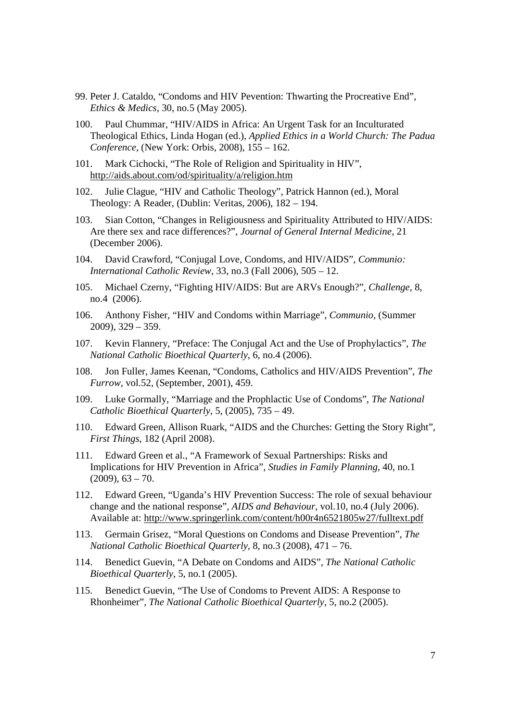- 99. Peter J. Cataldo, "Condoms and HIV Pevention: Thwarting the Procreative End", *Ethics & Medics*, 30, no.5 (May 2005).
- 100. Paul Chummar, "HIV/AIDS in Africa: An Urgent Task for an Inculturated Theological Ethics, Linda Hogan (ed.), *Applied Ethics in a World Church: The Padua Conference*, (New York: Orbis, 2008), 155 – 162.
- 101. Mark Cichocki, "The Role of Religion and Spirituality in HIV", http://aids.about.com/od/spirituality/a/religion.htm
- 102. Julie Clague, "HIV and Catholic Theology", Patrick Hannon (ed.), Moral Theology: A Reader, (Dublin: Veritas, 2006), 182 – 194.
- 103. Sian Cotton, "Changes in Religiousness and Spirituality Attributed to HIV/AIDS: Are there sex and race differences?", *Journal of General Internal Medicine*, 21 (December 2006).
- 104. David Crawford, "Conjugal Love, Condoms, and HIV/AIDS", *Communio: International Catholic Review*, 33, no.3 (Fall 2006), 505 – 12.
- 105. Michael Czerny, "Fighting HIV/AIDS: But are ARVs Enough?", *Challenge,* 8, no.4 (2006).
- 106. Anthony Fisher, "HIV and Condoms within Marriage", *Communio*, (Summer 2009), 329 – 359.
- 107. Kevin Flannery, "Preface: The Conjugal Act and the Use of Prophylactics", *The National Catholic Bioethical Quarterly*, 6, no.4 (2006).
- 108. Jon Fuller, James Keenan, "Condoms, Catholics and HIV/AIDS Prevention", *The Furrow*, vol.52, (September, 2001), 459.
- 109. Luke Gormally, "Marriage and the Prophlactic Use of Condoms", *The National Catholic Bioethical Quarterly*, 5, (2005), 735 – 49.
- 110. Edward Green, Allison Ruark, "AIDS and the Churches: Getting the Story Right", *First Things*, 182 (April 2008).
- 111. Edward Green et al., "A Framework of Sexual Partnerships: Risks and Implications for HIV Prevention in Africa", *Studies in Family Planning*, 40, no.1  $(2009)$ ,  $63 - 70$ .
- 112. Edward Green, "Uganda's HIV Prevention Success: The role of sexual behaviour change and the national response", *AIDS and Behaviour*, vol.10, no.4 (July 2006). Available at: http://www.springerlink.com/content/h00r4n6521805w27/fulltext.pdf
- 113. Germain Grisez, "Moral Questions on Condoms and Disease Prevention", *The National Catholic Bioethical Quarterly*, 8, no.3 (2008), 471 – 76.
- 114. Benedict Guevin, "A Debate on Condoms and AIDS", *The National Catholic Bioethical Quarterly*, 5, no.1 (2005).
- 115. Benedict Guevin, "The Use of Condoms to Prevent AIDS: A Response to Rhonheimer", *The National Catholic Bioethical Quarterly*, 5, no.2 (2005).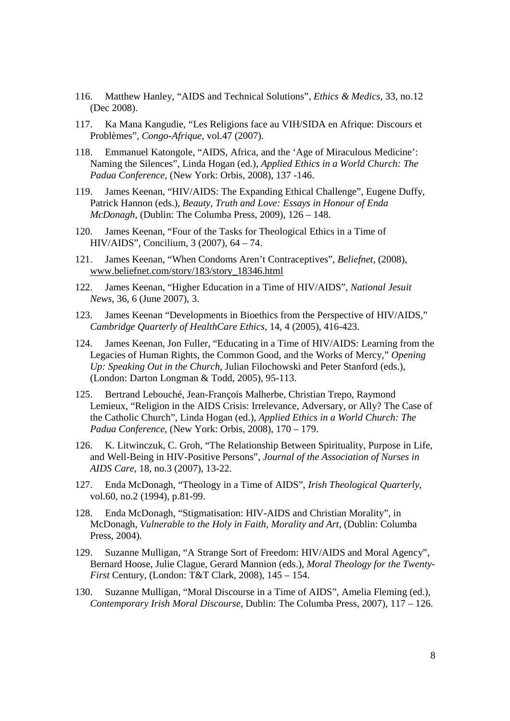- 116. Matthew Hanley, "AIDS and Technical Solutions", *Ethics & Medics*, 33, no.12 (Dec 2008).
- 117. Ka Mana Kangudie, "Les Religions face au VIH/SIDA en Afrique: Discours et Problèmes", *Congo-Afrique*, vol.47 (2007).
- 118. Emmanuel Katongole, "AIDS, Africa, and the 'Age of Miraculous Medicine': Naming the Silences", Linda Hogan (ed.), *Applied Ethics in a World Church: The Padua Conference*, (New York: Orbis, 2008), 137 -146.
- 119. James Keenan, "HIV/AIDS: The Expanding Ethical Challenge", Eugene Duffy, Patrick Hannon (eds.), *Beauty, Truth and Love: Essays in Honour of Enda McDonagh*, (Dublin: The Columba Press, 2009), 126 – 148.
- 120. James Keenan, "Four of the Tasks for Theological Ethics in a Time of HIV/AIDS", Concilium, 3 (2007), 64 – 74.
- 121. James Keenan, "When Condoms Aren't Contraceptives", *Beliefnet*, (2008), www.beliefnet.com/story/183/story\_18346.html
- 122. James Keenan, "Higher Education in a Time of HIV/AIDS", *National Jesuit News*, 36, 6 (June 2007), 3.
- 123. James Keenan "Developments in Bioethics from the Perspective of HIV/AIDS," *Cambridge Quarterly of HealthCare Ethics,* 14, 4 (2005), 416-423.
- 124. James Keenan, Jon Fuller, "Educating in a Time of HIV/AIDS: Learning from the Legacies of Human Rights, the Common Good, and the Works of Mercy," *Opening Up: Speaking Out in the Church*, Julian Filochowski and Peter Stanford (eds.), (London: Darton Longman & Todd, 2005), 95-113.
- 125. Bertrand Lebouché, Jean-François Malherbe, Christian Trepo, Raymond Lemieux, "Religion in the AIDS Crisis: Irrelevance, Adversary, or Ally? The Case of the Catholic Church", Linda Hogan (ed.), *Applied Ethics in a World Church: The Padua Conference*, (New York: Orbis, 2008), 170 – 179.
- 126. K. Litwinczuk, C. Groh, "The Relationship Between Spirituality, Purpose in Life, and Well-Being in HIV-Positive Persons", *Journal of the Association of Nurses in AIDS Care*, 18, no.3 (2007), 13-22.
- 127. Enda McDonagh, "Theology in a Time of AIDS", *Irish Theological Quarterly*, vol.60, no.2 (1994), p.81-99.
- 128. Enda McDonagh, "Stigmatisation: HIV-AIDS and Christian Morality", in McDonagh, *Vulnerable to the Holy in Faith, Morality and Art*, (Dublin: Columba Press, 2004).
- 129. Suzanne Mulligan, "A Strange Sort of Freedom: HIV/AIDS and Moral Agency", Bernard Hoose, Julie Clague, Gerard Mannion (eds.), *Moral Theology for the Twenty-First* Century, (London: T&T Clark, 2008), 145 – 154.
- 130. Suzanne Mulligan, "Moral Discourse in a Time of AIDS", Amelia Fleming (ed.), *Contemporary Irish Moral Discourse*, Dublin: The Columba Press, 2007), 117 – 126.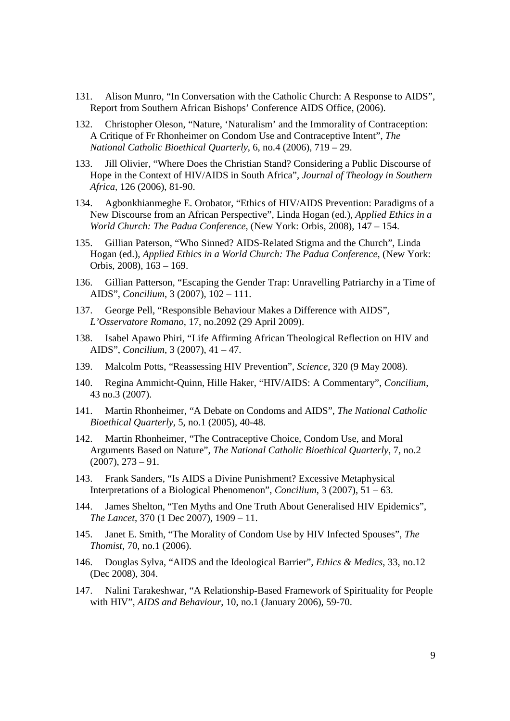- 131. Alison Munro, "In Conversation with the Catholic Church: A Response to AIDS", Report from Southern African Bishops' Conference AIDS Office, (2006).
- 132. Christopher Oleson, "Nature, 'Naturalism' and the Immorality of Contraception: A Critique of Fr Rhonheimer on Condom Use and Contraceptive Intent", *The National Catholic Bioethical Quarterly*, 6, no.4 (2006), 719 – 29.
- 133. Jill Olivier, "Where Does the Christian Stand? Considering a Public Discourse of Hope in the Context of HIV/AIDS in South Africa", *Journal of Theology in Southern Africa,* 126 (2006), 81-90.
- 134. Agbonkhianmeghe E. Orobator, "Ethics of HIV/AIDS Prevention: Paradigms of a New Discourse from an African Perspective", Linda Hogan (ed.), *Applied Ethics in a World Church: The Padua Conference*, (New York: Orbis, 2008), 147 – 154.
- 135. Gillian Paterson, "Who Sinned? AIDS-Related Stigma and the Church", Linda Hogan (ed.), *Applied Ethics in a World Church: The Padua Conference*, (New York: Orbis, 2008), 163 – 169.
- 136. Gillian Patterson, "Escaping the Gender Trap: Unravelling Patriarchy in a Time of AIDS", *Concilium*, 3 (2007), 102 – 111.
- 137. George Pell, "Responsible Behaviour Makes a Difference with AIDS", *L'Osservatore Romano*, 17, no.2092 (29 April 2009).
- 138. Isabel Apawo Phiri, "Life Affirming African Theological Reflection on HIV and AIDS", *Concilium*, 3 (2007), 41 – 47.
- 139. Malcolm Potts, "Reassessing HIV Prevention", *Science*, 320 (9 May 2008).
- 140. Regina Ammicht-Quinn, Hille Haker, "HIV/AIDS: A Commentary", *Concilium*, 43 no.3 (2007).
- 141. Martin Rhonheimer, "A Debate on Condoms and AIDS", *The National Catholic Bioethical Quarterly*, 5, no.1 (2005), 40-48.
- 142. Martin Rhonheimer, "The Contraceptive Choice, Condom Use, and Moral Arguments Based on Nature", *The National Catholic Bioethical Quarterly*, 7, no.2  $(2007), 273 - 91.$
- 143. Frank Sanders, "Is AIDS a Divine Punishment? Excessive Metaphysical Interpretations of a Biological Phenomenon", *Concilium*, 3 (2007), 51 – 63.
- 144. James Shelton, "Ten Myths and One Truth About Generalised HIV Epidemics", *The Lancet*, 370 (1 Dec 2007), 1909 – 11.
- 145. Janet E. Smith, "The Morality of Condom Use by HIV Infected Spouses", *The Thomist*, 70, no.1 (2006).
- 146. Douglas Sylva, "AIDS and the Ideological Barrier", *Ethics & Medics*, 33, no.12 (Dec 2008), 304.
- 147. Nalini Tarakeshwar, "A Relationship-Based Framework of Spirituality for People with HIV", *AIDS and Behaviour*, 10, no.1 (January 2006), 59-70.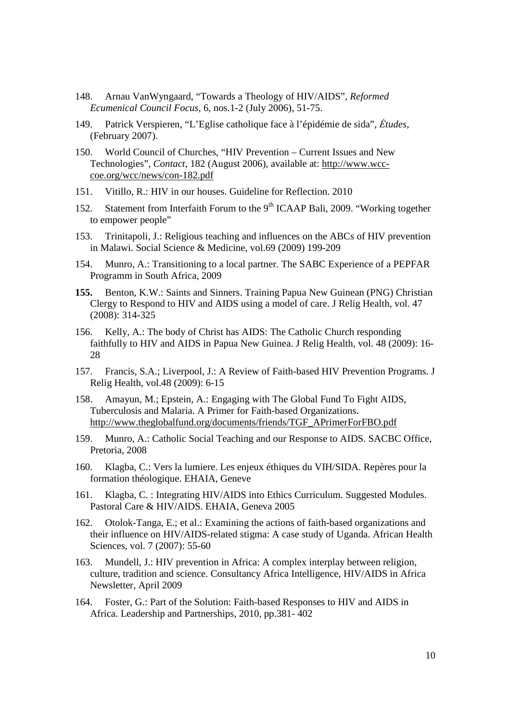- 148. Arnau VanWyngaard, "Towards a Theology of HIV/AIDS", *Reformed Ecumenical Council Focus*, 6, nos.1-2 (July 2006), 51-75.
- 149. Patrick Verspieren, "L'Eglise catholique face à l'épidémie de sida", *Ėtudes*, (February 2007).
- 150. World Council of Churches, "HIV Prevention Current Issues and New Technologies", *Contact*, 182 (August 2006), available at: http://www.wcccoe.org/wcc/news/con-182.pdf
- 151. Vitillo, R.: HIV in our houses. Guideline for Reflection. 2010
- 152. Statement from Interfaith Forum to the  $9<sup>th</sup>$  ICAAP Bali, 2009. "Working together to empower people"
- 153. Trinitapoli, J.: Religious teaching and influences on the ABCs of HIV prevention in Malawi. Social Science & Medicine, vol.69 (2009) 199-209
- 154. Munro, A.: Transitioning to a local partner. The SABC Experience of a PEPFAR Programm in South Africa, 2009
- **155.** Benton, K.W.: Saints and Sinners. Training Papua New Guinean (PNG) Christian Clergy to Respond to HIV and AIDS using a model of care. J Relig Health, vol. 47 (2008): 314-325
- 156. Kelly, A.: The body of Christ has AIDS: The Catholic Church responding faithfully to HIV and AIDS in Papua New Guinea. J Relig Health, vol. 48 (2009): 16- 28
- 157. Francis, S.A.; Liverpool, J.: A Review of Faith-based HIV Prevention Programs. J Relig Health, vol.48 (2009): 6-15
- 158. Amayun, M.; Epstein, A.: Engaging with The Global Fund To Fight AIDS, Tuberculosis and Malaria. A Primer for Faith-based Organizations. http://www.theglobalfund.org/documents/friends/TGF\_APrimerForFBO.pdf
- 159. Munro, A.: Catholic Social Teaching and our Response to AIDS. SACBC Office, Pretoria, 2008
- 160. Klagba, C.: Vers la lumiere. Les enjeux éthiques du VIH/SIDA. Repères pour la formation théologique. EHAIA, Geneve
- 161. Klagba, C. : Integrating HIV/AIDS into Ethics Curriculum. Suggested Modules. Pastoral Care & HIV/AIDS. EHAIA, Geneva 2005
- 162. Otolok-Tanga, E.; et al.: Examining the actions of faith-based organizations and their influence on HIV/AIDS-related stigma: A case study of Uganda. African Health Sciences, vol. 7 (2007): 55-60
- 163. Mundell, J.: HIV prevention in Africa: A complex interplay between religion, culture, tradition and science. Consultancy Africa Intelligence, HIV/AIDS in Africa Newsletter, April 2009
- 164. Foster, G.: Part of the Solution: Faith-based Responses to HIV and AIDS in Africa. Leadership and Partnerships, 2010, pp.381- 402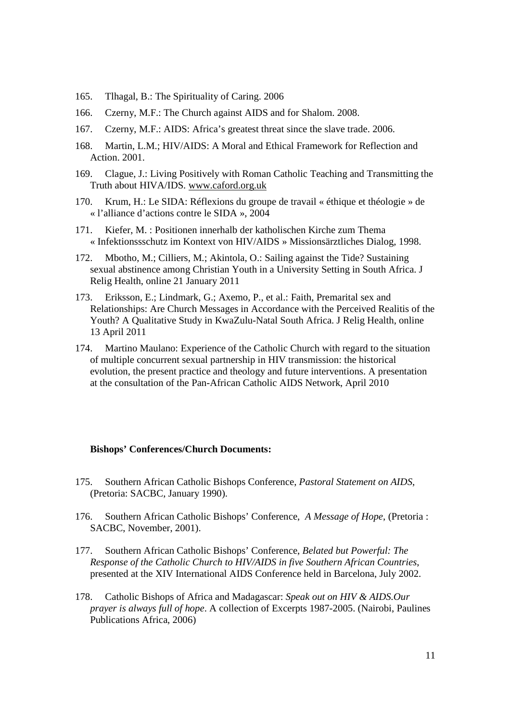- 165. Tlhagal, B.: The Spirituality of Caring. 2006
- 166. Czerny, M.F.: The Church against AIDS and for Shalom. 2008.
- 167. Czerny, M.F.: AIDS: Africa's greatest threat since the slave trade. 2006.
- 168. Martin, L.M.; HIV/AIDS: A Moral and Ethical Framework for Reflection and Action. 2001.
- 169. Clague, J.: Living Positively with Roman Catholic Teaching and Transmitting the Truth about HIVA/IDS. www.caford.org.uk
- 170. Krum, H.: Le SIDA: Réflexions du groupe de travail « éthique et théologie » de « l'alliance d'actions contre le SIDA », 2004
- 171. Kiefer, M. : Positionen innerhalb der katholischen Kirche zum Thema « Infektionssschutz im Kontext von HIV/AIDS » Missionsärztliches Dialog, 1998.
- 172. Mbotho, M.; Cilliers, M.; Akintola, O.: Sailing against the Tide? Sustaining sexual abstinence among Christian Youth in a University Setting in South Africa. J Relig Health, online 21 January 2011
- 173. Eriksson, E.; Lindmark, G.; Axemo, P., et al.: Faith, Premarital sex and Relationships: Are Church Messages in Accordance with the Perceived Realitis of the Youth? A Qualitative Study in KwaZulu-Natal South Africa. J Relig Health, online 13 April 2011
- 174. Martino Maulano: Experience of the Catholic Church with regard to the situation of multiple concurrent sexual partnership in HIV transmission: the historical evolution, the present practice and theology and future interventions. A presentation at the consultation of the Pan-African Catholic AIDS Network, April 2010

#### **Bishops' Conferences/Church Documents:**

- 175. Southern African Catholic Bishops Conference, *Pastoral Statement on AIDS*, (Pretoria: SACBC, January 1990).
- 176. Southern African Catholic Bishops' Conference, *A Message of Hope*, (Pretoria : SACBC, November, 2001).
- 177. Southern African Catholic Bishops' Conference, *Belated but Powerful: The Response of the Catholic Church to HIV/AIDS in five Southern African Countries*, presented at the XIV International AIDS Conference held in Barcelona, July 2002.
- 178. Catholic Bishops of Africa and Madagascar: *Speak out on HIV & AIDS.Our prayer is always full of hope*. A collection of Excerpts 1987-2005. (Nairobi, Paulines Publications Africa, 2006)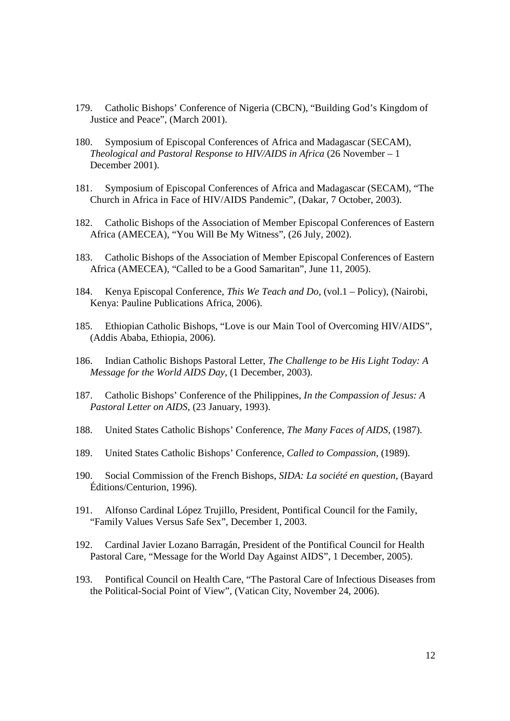- 179. Catholic Bishops' Conference of Nigeria (CBCN), "Building God's Kingdom of Justice and Peace", (March 2001).
- 180. Symposium of Episcopal Conferences of Africa and Madagascar (SECAM), *Theological and Pastoral Response to HIV/AIDS in Africa* (26 November – 1 December 2001).
- 181. Symposium of Episcopal Conferences of Africa and Madagascar (SECAM), "The Church in Africa in Face of HIV/AIDS Pandemic", (Dakar, 7 October, 2003).
- 182. Catholic Bishops of the Association of Member Episcopal Conferences of Eastern Africa (AMECEA), "You Will Be My Witness", (26 July, 2002).
- 183. Catholic Bishops of the Association of Member Episcopal Conferences of Eastern Africa (AMECEA), "Called to be a Good Samaritan", June 11, 2005).
- 184. Kenya Episcopal Conference, *This We Teach and Do*, (vol.1 Policy), (Nairobi, Kenya: Pauline Publications Africa, 2006).
- 185. Ethiopian Catholic Bishops, "Love is our Main Tool of Overcoming HIV/AIDS", (Addis Ababa, Ethiopia, 2006).
- 186. Indian Catholic Bishops Pastoral Letter, *The Challenge to be His Light Today: A Message for the World AIDS Day*, (1 December, 2003).
- 187. Catholic Bishops' Conference of the Philippines, *In the Compassion of Jesus: A Pastoral Letter on AIDS*, (23 January, 1993).
- 188. United States Catholic Bishops' Conference, *The Many Faces of AIDS*, (1987).
- 189. United States Catholic Bishops' Conference, *Called to Compassion*, (1989).
- 190. Social Commission of the French Bishops, *SIDA: La société en question*, (Bayard Éditions/Centurion, 1996).
- 191. Alfonso Cardinal López Trujillo, President, Pontifical Council for the Family, "Family Values Versus Safe Sex", December 1, 2003.
- 192. Cardinal Javier Lozano Barragán, President of the Pontifical Council for Health Pastoral Care, "Message for the World Day Against AIDS", 1 December, 2005).
- 193. Pontifical Council on Health Care, "The Pastoral Care of Infectious Diseases from the Political-Social Point of View", (Vatican City, November 24, 2006).